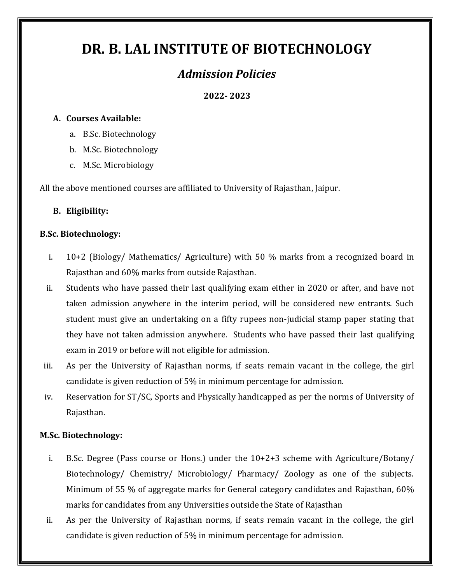# **DR. B. LAL INSTITUTE OF BIOTECHNOLOGY**

## *Admission Policies*

**2022- 2023**

#### **A. Courses Available:**

- a. B.Sc. Biotechnology
- b. M.Sc. Biotechnology
- c. M.Sc. Microbiology

All the above mentioned courses are affiliated to University of Rajasthan, Jaipur.

#### **B. Eligibility:**

#### **B.Sc. Biotechnology:**

- i. 10+2 (Biology/ Mathematics/ Agriculture) with 50 % marks from a recognized board in Rajasthan and 60% marks from outside Rajasthan.
- ii. Students who have passed their last qualifying exam either in 2020 or after, and have not taken admission anywhere in the interim period, will be considered new entrants. Such student must give an undertaking on a fifty rupees non-judicial stamp paper stating that they have not taken admission anywhere. Students who have passed their last qualifying exam in 2019 or before will not eligible for admission.
- iii. As per the University of Rajasthan norms, if seats remain vacant in the college, the girl candidate is given reduction of 5% in minimum percentage for admission.
- iv. Reservation for ST/SC, Sports and Physically handicapped as per the norms of University of Rajasthan.

#### **M.Sc. Biotechnology:**

- i. B.S.c. Degree (Pass course or Hons.) under the  $10+2+3$  scheme with Agriculture/Botany/ Biotechnology/ Chemistry/ Microbiology/ Pharmacy/ Zoology as one of the subjects. Minimum of 55 % of aggregate marks for General category candidates and Rajasthan, 60% marks for candidates from any Universities outside the State of Rajasthan
- ii. As per the University of Rajasthan norms, if seats remain vacant in the college, the girl candidate is given reduction of 5% in minimum percentage for admission.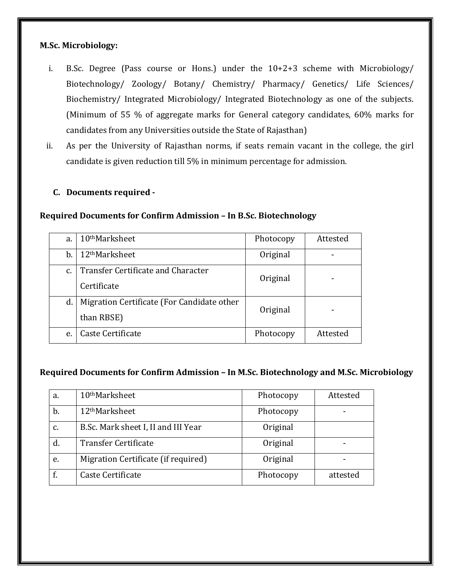#### **M.Sc. Microbiology:**

- i. B.Sc. Degree (Pass course or Hons.) under the 10+2+3 scheme with Microbiology/ Biotechnology/ Zoology/ Botany/ Chemistry/ Pharmacy/ Genetics/ Life Sciences/ Biochemistry/ Integrated Microbiology/ Integrated Biotechnology as one of the subjects. (Minimum of 55 % of aggregate marks for General category candidates, 60% marks for candidates from any Universities outside the State of Rajasthan)
- ii. As per the University of Rajasthan norms, if seats remain vacant in the college, the girl candidate is given reduction till 5% in minimum percentage for admission.

#### **C. Documents required -**

#### **Required Documents for Confirm Admission – In B.Sc. Biotechnology**

| a.            | 10 <sup>th</sup> Marksheet                 | Photocopy | Attested |
|---------------|--------------------------------------------|-----------|----------|
| b.            | 12 <sup>th</sup> Marksheet                 | Original  |          |
| $C_{\bullet}$ | Transfer Certificate and Character         | Original  |          |
|               | Certificate                                |           |          |
| d.            | Migration Certificate (For Candidate other | Original  |          |
|               | than RBSE)                                 |           |          |
| e.            | Caste Certificate                          | Photocopy | Attested |

#### **Required Documents for Confirm Admission – In M.Sc. Biotechnology and M.Sc. Microbiology**

| a. | 10 <sup>th</sup> Marksheet          | Photocopy | Attested |
|----|-------------------------------------|-----------|----------|
| b. | 12 <sup>th</sup> Marksheet          | Photocopy |          |
| C. | B.Sc. Mark sheet I, II and III Year | Original  |          |
| d. | <b>Transfer Certificate</b>         | Original  |          |
| e. | Migration Certificate (if required) | Original  |          |
|    | Caste Certificate                   | Photocopy | attested |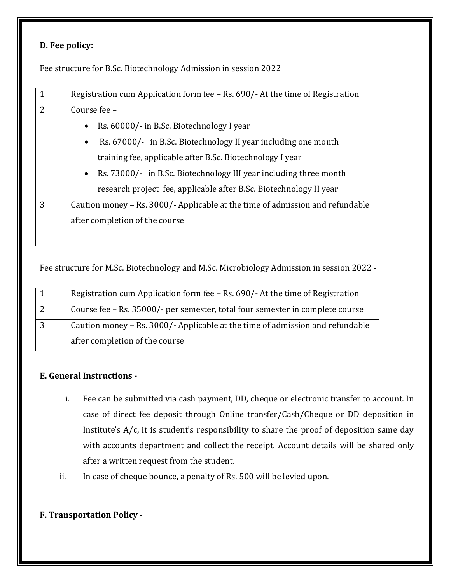#### **D. Fee policy:**

Fee structure for B.Sc. Biotechnology Admission in session 2022

| 1 | Registration cum Application form fee – Rs. 690/- At the time of Registration |  |
|---|-------------------------------------------------------------------------------|--|
| 2 | Course fee -                                                                  |  |
|   | Rs. 60000/- in B.Sc. Biotechnology I year<br>$\bullet$                        |  |
|   | Rs. 67000/- in B.Sc. Biotechnology II year including one month<br>$\bullet$   |  |
|   | training fee, applicable after B.Sc. Biotechnology I year                     |  |
|   | • Rs. 73000/- in B.Sc. Biotechnology III year including three month           |  |
|   | research project fee, applicable after B.Sc. Biotechnology II year            |  |
| 3 | Caution money – Rs. 3000/- Applicable at the time of admission and refundable |  |
|   | after completion of the course                                                |  |
|   |                                                                               |  |

Fee structure for M.Sc. Biotechnology and M.Sc. Microbiology Admission in session 2022 -

| Registration cum Application form fee - Rs. 690/- At the time of Registration |
|-------------------------------------------------------------------------------|
| Course fee – Rs. 35000/- per semester, total four semester in complete course |
| Caution money – Rs. 3000/- Applicable at the time of admission and refundable |
| after completion of the course                                                |

### **E. General Instructions -**

- i. Fee can be submitted via cash payment, DD, cheque or electronic transfer to account. In case of direct fee deposit through Online transfer/Cash/Cheque or DD deposition in Institute's A/c, it is student's responsibility to share the proof of deposition same day with accounts department and collect the receipt. Account details will be shared only after a written request from the student.
- ii. In case of cheque bounce, a penalty of Rs. 500 will be levied upon.

#### **F. Transportation Policy -**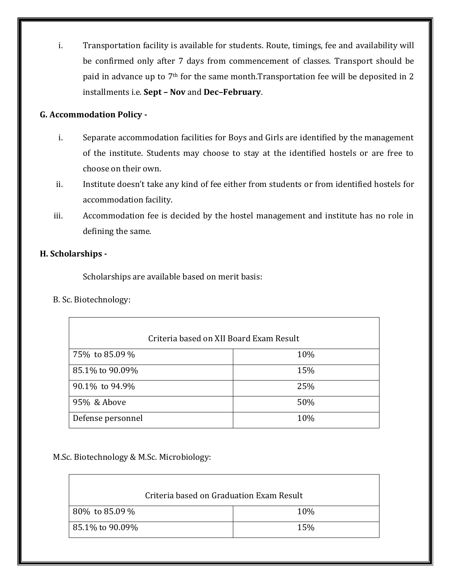i. Transportation facility is available for students. Route, timings, fee and availability will be confirmed only after 7 days from commencement of classes. Transport should be paid in advance up to 7<sup>th</sup> for the same month.Transportation fee will be deposited in 2 installments i.e. **Sept – Nov** and **Dec–February**.

#### **G. Accommodation Policy -**

- i. Separate accommodation facilities for Boys and Girls are identified by the management of the institute. Students may choose to stay at the identified hostels or are free to choose on their own.
- ii. Institute doesn't take any kind of fee either from students or from identified hostels for accommodation facility.
- iii. Accommodation fee is decided by the hostel management and institute has no role in defining the same.

#### **H. Scholarships -**

Scholarships are available based on merit basis:

B. Sc. Biotechnology:

| Criteria based on XII Board Exam Result |     |
|-----------------------------------------|-----|
| 75% to 85.09 %                          | 10% |
| 85.1% to 90.09%                         | 15% |
| 90.1% to 94.9%                          | 25% |
| 95% & Above                             | 50% |
| Defense personnel                       | 10% |

M.Sc. Biotechnology & M.Sc. Microbiology:

| Criteria based on Graduation Exam Result |     |
|------------------------------------------|-----|
| 80% to 85.09 %                           | 10% |
| 85.1% to 90.09%                          | 15% |